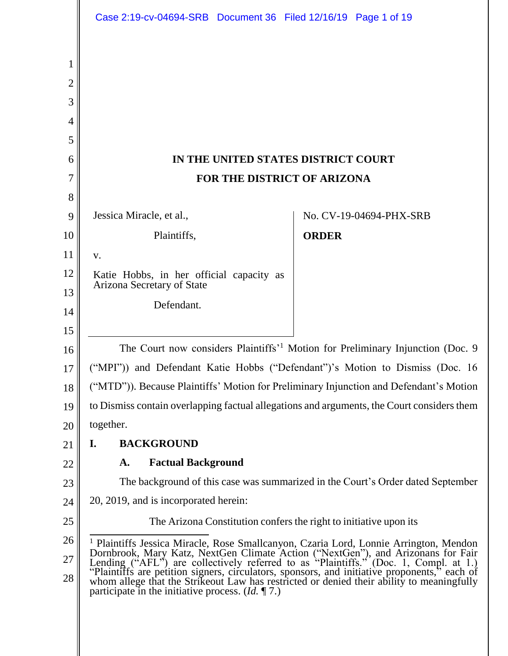|        | Case 2:19-cv-04694-SRB Document 36 Filed 12/16/19 Page 1 of 19                                                                                                                                                                                                                                                                                                     |                                                                                             |
|--------|--------------------------------------------------------------------------------------------------------------------------------------------------------------------------------------------------------------------------------------------------------------------------------------------------------------------------------------------------------------------|---------------------------------------------------------------------------------------------|
|        |                                                                                                                                                                                                                                                                                                                                                                    |                                                                                             |
| 1      |                                                                                                                                                                                                                                                                                                                                                                    |                                                                                             |
| 2      |                                                                                                                                                                                                                                                                                                                                                                    |                                                                                             |
| 3      |                                                                                                                                                                                                                                                                                                                                                                    |                                                                                             |
| 4      |                                                                                                                                                                                                                                                                                                                                                                    |                                                                                             |
| 5      |                                                                                                                                                                                                                                                                                                                                                                    |                                                                                             |
| 6      | IN THE UNITED STATES DISTRICT COURT                                                                                                                                                                                                                                                                                                                                |                                                                                             |
| 7      | <b>FOR THE DISTRICT OF ARIZONA</b>                                                                                                                                                                                                                                                                                                                                 |                                                                                             |
| 8<br>9 | Jessica Miracle, et al.,                                                                                                                                                                                                                                                                                                                                           | No. CV-19-04694-PHX-SRB                                                                     |
| 10     | Plaintiffs,                                                                                                                                                                                                                                                                                                                                                        | <b>ORDER</b>                                                                                |
| 11     | V.                                                                                                                                                                                                                                                                                                                                                                 |                                                                                             |
| 12     | Katie Hobbs, in her official capacity as                                                                                                                                                                                                                                                                                                                           |                                                                                             |
| 13     | Arizona Secretary of State                                                                                                                                                                                                                                                                                                                                         |                                                                                             |
| 14     | Defendant.                                                                                                                                                                                                                                                                                                                                                         |                                                                                             |
| 15     |                                                                                                                                                                                                                                                                                                                                                                    |                                                                                             |
| 16     |                                                                                                                                                                                                                                                                                                                                                                    | The Court now considers Plaintiffs' <sup>1</sup> Motion for Preliminary Injunction (Doc. 9) |
| 17     | ("MPI")) and Defendant Katie Hobbs ("Defendant")'s Motion to Dismiss (Doc. 16                                                                                                                                                                                                                                                                                      |                                                                                             |
| 18     | ("MTD")). Because Plaintiffs' Motion for Preliminary Injunction and Defendant's Motion                                                                                                                                                                                                                                                                             |                                                                                             |
| 19     | to Dismiss contain overlapping factual allegations and arguments, the Court considers them                                                                                                                                                                                                                                                                         |                                                                                             |
| 20     | together.                                                                                                                                                                                                                                                                                                                                                          |                                                                                             |
| 21     | <b>BACKGROUND</b><br>I.                                                                                                                                                                                                                                                                                                                                            |                                                                                             |
| 22     | <b>Factual Background</b><br>A.                                                                                                                                                                                                                                                                                                                                    |                                                                                             |
| 23     | The background of this case was summarized in the Court's Order dated September                                                                                                                                                                                                                                                                                    |                                                                                             |
| 24     | 20, 2019, and is incorporated herein:                                                                                                                                                                                                                                                                                                                              |                                                                                             |
| 25     | The Arizona Constitution confers the right to initiative upon its                                                                                                                                                                                                                                                                                                  |                                                                                             |
| 26     | <sup>1</sup> Plaintiffs Jessica Miracle, Rose Smallcanyon, Czaria Lord, Lonnie Arrington, Mendon                                                                                                                                                                                                                                                                   |                                                                                             |
| 27     | Dornbrook, Mary Katz, NextGen Climate Action ("NextGen"), and Arizonans for Fair<br>Lending ("AFL") are collectively referred to as "Plaintiffs." (Doc. 1, Compl. at 1.)<br>"Plaintiffs are petition signers, circulators, sponsors, and initiative proponents," each of whom allege that the Strikeout Law has restricted or denied their ability to meaningfully |                                                                                             |
| 28     | participate in the initiative process. $(Id. \P 7)$                                                                                                                                                                                                                                                                                                                |                                                                                             |
|        |                                                                                                                                                                                                                                                                                                                                                                    |                                                                                             |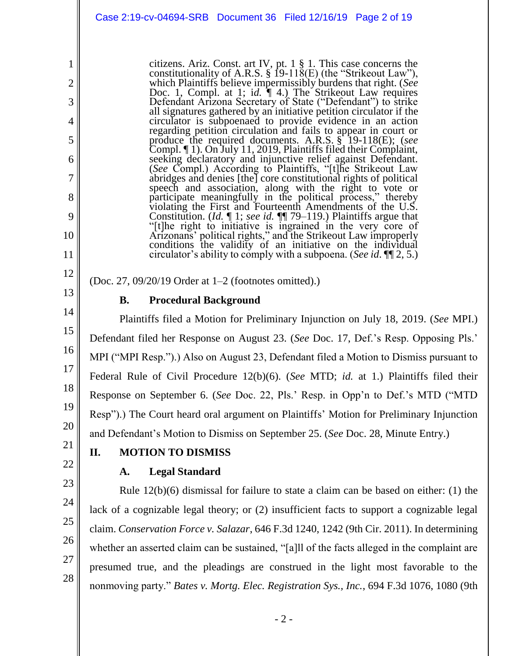citizens. Ariz. Const. art IV, pt. 1 § 1. This case concerns the constitutionality of A.R.S.  $\S$  19-118(E) (the "Strikeout Law"), which Plaintiffs believe impermissibly burdens that right. (*See* Doc. 1, Compl. at 1; i*d.* ¶ 4.) The Strikeout Law requires Defendant Arizona Secretary of State ("Defendant") to strike all signatures gathered by an initiative petition circulator if the circulator is subpoenaed to provide evidence in an action regarding petition circulation and fails to appear in court or produce the required documents. A.R.S. § 19-118(E); (*see* Compl. ¶ 1). On July 11, 2019, Plaintiffs filed their Complaint, seeking declaratory and injunctive relief against Defendant. (*See* Compl.) According to Plaintiffs, "[t]he Strikeout Law abridges and denies [the] core constitutional rights of political speech and association, along with the right to vote or participate meaningfully in the political process," thereby violating the First and Fourteenth Amendments of the U.S. Constitution. (*Id.* ¶ 1; *see id.* ¶¶ 79–119.) Plaintiffs argue that "[t]he right to initiative is ingrained in the very core of Arizonans' political rights," and the Strikeout Law improperly conditions the validity of an initiative on the individual circulator's ability to comply with a subpoena. (*See id*. ¶¶ 2, 5.)

(Doc. 27, 09/20/19 Order at 1–2 (footnotes omitted).)

13 14

15

16

17

18

19

20

1

2

3

4

5

6

7

8

9

10

11

12

## **B. Procedural Background**

Plaintiffs filed a Motion for Preliminary Injunction on July 18, 2019. (*See* MPI.) Defendant filed her Response on August 23. (*See* Doc. 17, Def.'s Resp. Opposing Pls.' MPI ("MPI Resp.").) Also on August 23, Defendant filed a Motion to Dismiss pursuant to Federal Rule of Civil Procedure 12(b)(6). (*See* MTD; *id.* at 1.) Plaintiffs filed their Response on September 6. (*See* Doc. 22, Pls.' Resp. in Opp'n to Def.'s MTD ("MTD Resp").) The Court heard oral argument on Plaintiffs' Motion for Preliminary Injunction and Defendant's Motion to Dismiss on September 25. (*See* Doc. 28, Minute Entry.)

21 22

23

24

## **II. MOTION TO DISMISS**

## **A. Legal Standard**

Rule 12(b)(6) dismissal for failure to state a claim can be based on either: (1) the lack of a cognizable legal theory; or (2) insufficient facts to support a cognizable legal claim. *Conservation Force v. Salazar*, 646 F.3d 1240, 1242 (9th Cir. 2011). In determining whether an asserted claim can be sustained, "[a]ll of the facts alleged in the complaint are presumed true, and the pleadings are construed in the light most favorable to the nonmoving party." *Bates v. Mortg. Elec. Registration Sys., Inc.*, 694 F.3d 1076, 1080 (9th

25 26 27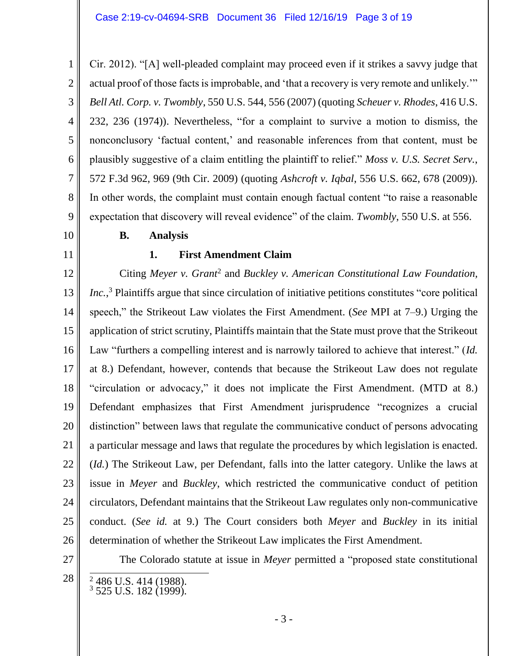1 2 3 4 5 6 7 8 Cir. 2012). "[A] well-pleaded complaint may proceed even if it strikes a savvy judge that actual proof of those facts is improbable, and 'that a recovery is very remote and unlikely.'" *Bell Atl. Corp. v. Twombly*, 550 U.S. 544, 556 (2007) (quoting *Scheuer v. Rhodes*, 416 U.S. 232, 236 (1974)). Nevertheless, "for a complaint to survive a motion to dismiss, the nonconclusory 'factual content,' and reasonable inferences from that content, must be plausibly suggestive of a claim entitling the plaintiff to relief." *Moss v. U.S. Secret Serv.*, 572 F.3d 962, 969 (9th Cir. 2009) (quoting *Ashcroft v. Iqbal*, 556 U.S. 662, 678 (2009)). In other words, the complaint must contain enough factual content "to raise a reasonable expectation that discovery will reveal evidence" of the claim. *Twombly*, 550 U.S. at 556.

# 10

11

9

## **B. Analysis**

## **1. First Amendment Claim**

12 13 14 15 16 17 18 19 20 21 22 23 24 25 26 Citing Meyer v. Grant<sup>2</sup> and *Buckley v. American Constitutional Law Foundation*, *Inc.*,<sup>3</sup> Plaintiffs argue that since circulation of initiative petitions constitutes "core political speech," the Strikeout Law violates the First Amendment. (*See* MPI at 7–9.) Urging the application of strict scrutiny, Plaintiffs maintain that the State must prove that the Strikeout Law "furthers a compelling interest and is narrowly tailored to achieve that interest." (*Id.* at 8.) Defendant, however, contends that because the Strikeout Law does not regulate "circulation or advocacy," it does not implicate the First Amendment. (MTD at 8.) Defendant emphasizes that First Amendment jurisprudence "recognizes a crucial distinction" between laws that regulate the communicative conduct of persons advocating a particular message and laws that regulate the procedures by which legislation is enacted. (*Id.*) The Strikeout Law, per Defendant, falls into the latter category. Unlike the laws at issue in *Meyer* and *Buckley*, which restricted the communicative conduct of petition circulators, Defendant maintains that the Strikeout Law regulates only non-communicative conduct. (*See id.* at 9.) The Court considers both *Meyer* and *Buckley* in its initial determination of whether the Strikeout Law implicates the First Amendment.

27

The Colorado statute at issue in *Meyer* permitted a "proposed state constitutional

28

 $\overline{a}$ 

 $^{2}_{3}$  486 U.S. 414 (1988). <sup>3</sup> 525 U.S. 182 (1999).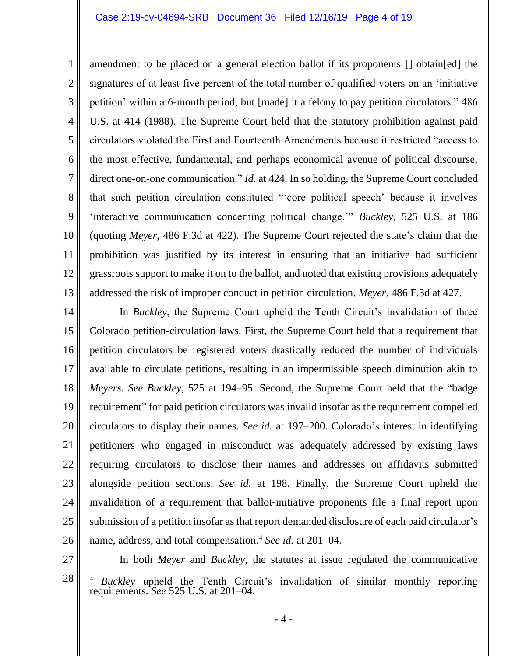#### Case 2:19-cv-04694-SRB Document 36 Filed 12/16/19 Page 4 of 19

1 2 3 4 5 6 7 8 9 10 11 12 13 amendment to be placed on a general election ballot if its proponents [] obtain[ed] the signatures of at least five percent of the total number of qualified voters on an 'initiative petition' within a 6-month period, but [made] it a felony to pay petition circulators." 486 U.S. at 414 (1988). The Supreme Court held that the statutory prohibition against paid circulators violated the First and Fourteenth Amendments because it restricted "access to the most effective, fundamental, and perhaps economical avenue of political discourse, direct one-on-one communication." *Id.* at 424. In so holding, the Supreme Court concluded that such petition circulation constituted "'core political speech' because it involves 'interactive communication concerning political change.'" *Buckley*, 525 U.S. at 186 (quoting *Meyer*, 486 F.3d at 422). The Supreme Court rejected the state's claim that the prohibition was justified by its interest in ensuring that an initiative had sufficient grassroots support to make it on to the ballot, and noted that existing provisions adequately addressed the risk of improper conduct in petition circulation. *Meyer*, 486 F.3d at 427.

14 15 16 17 18 19 20 21 22 23 24 25 26 In *Buckley*, the Supreme Court upheld the Tenth Circuit's invalidation of three Colorado petition-circulation laws. First, the Supreme Court held that a requirement that petition circulators be registered voters drastically reduced the number of individuals available to circulate petitions, resulting in an impermissible speech diminution akin to *Meyers*. *See Buckley*, 525 at 194–95. Second, the Supreme Court held that the "badge requirement" for paid petition circulators was invalid insofar as the requirement compelled circulators to display their names. *See id.* at 197–200. Colorado's interest in identifying petitioners who engaged in misconduct was adequately addressed by existing laws requiring circulators to disclose their names and addresses on affidavits submitted alongside petition sections. *See id.* at 198. Finally, the Supreme Court upheld the invalidation of a requirement that ballot-initiative proponents file a final report upon submission of a petition insofar as that report demanded disclosure of each paid circulator's name, address, and total compensation.<sup>4</sup> *See id.* at 201–04.

27

In both *Meyer* and *Buckley*, the statutes at issue regulated the communicative

<sup>28</sup>  $\overline{\phantom{a}}$ <sup>4</sup> *Buckley* upheld the Tenth Circuit's invalidation of similar monthly reporting requirements. *See* 525 U.S. at 201–04.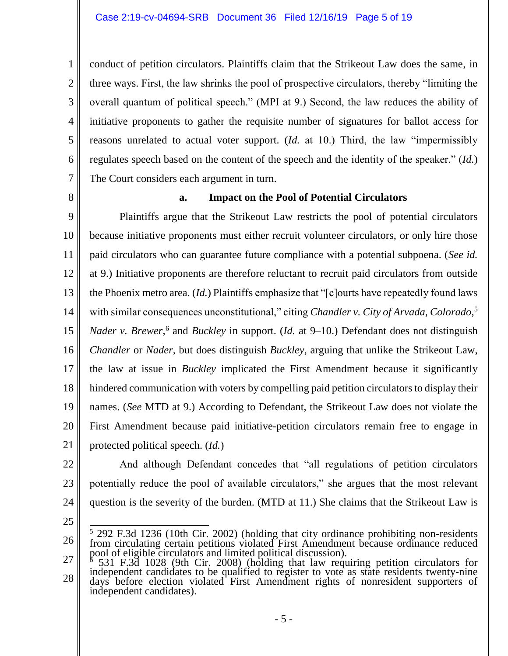conduct of petition circulators. Plaintiffs claim that the Strikeout Law does the same, in three ways. First, the law shrinks the pool of prospective circulators, thereby "limiting the overall quantum of political speech." (MPI at 9.) Second, the law reduces the ability of initiative proponents to gather the requisite number of signatures for ballot access for reasons unrelated to actual voter support. (*Id.* at 10.) Third, the law "impermissibly regulates speech based on the content of the speech and the identity of the speaker." (*Id.*) The Court considers each argument in turn.

8

1

2

3

4

5

6

7

### **a. Impact on the Pool of Potential Circulators**

9 10 11 12 13 14 15 16 17 18 19 20 21 Plaintiffs argue that the Strikeout Law restricts the pool of potential circulators because initiative proponents must either recruit volunteer circulators, or only hire those paid circulators who can guarantee future compliance with a potential subpoena. (*See id.* at 9.) Initiative proponents are therefore reluctant to recruit paid circulators from outside the Phoenix metro area. (*Id.*) Plaintiffs emphasize that "[c]ourts have repeatedly found laws with similar consequences unconstitutional," citing *Chandler v. City of Arvada, Colorado*,<sup>5</sup> Nader v. Brewer,<sup>6</sup> and *Buckley* in support. (*Id.* at 9–10.) Defendant does not distinguish *Chandler* or *Nader*, but does distinguish *Buckley*, arguing that unlike the Strikeout Law, the law at issue in *Buckley* implicated the First Amendment because it significantly hindered communication with voters by compelling paid petition circulators to display their names. (*See* MTD at 9.) According to Defendant, the Strikeout Law does not violate the First Amendment because paid initiative-petition circulators remain free to engage in protected political speech. (*Id.*)

- 22 23 24 And although Defendant concedes that "all regulations of petition circulators potentially reduce the pool of available circulators," she argues that the most relevant question is the severity of the burden. (MTD at 11.) She claims that the Strikeout Law is
- 25

<sup>26</sup>  $\overline{a}$  $5$  292 F.3d 1236 (10th Cir. 2002) (holding that city ordinance prohibiting non-residents from circulating certain petitions violated First Amendment because ordinance reduced pool of eligible circulators and limited political discussion).

<sup>27</sup> 28 <sup>6</sup> 531 F.3d 1028 (9th Cir. 2008) (holding that law requiring petition circulators for independent candidates to be qualified to register to vote as state residents twenty-nine days before election violated First Amendment rights of nonresident supporters of independent candidates).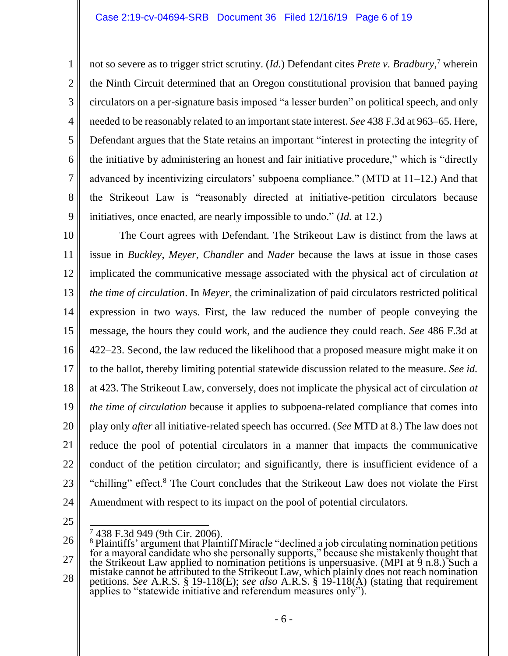not so severe as to trigger strict scrutiny. (*Id.*) Defendant cites *Prete v. Bradbury*, <sup>7</sup> wherein the Ninth Circuit determined that an Oregon constitutional provision that banned paying circulators on a per-signature basis imposed "a lesser burden" on political speech, and only needed to be reasonably related to an important state interest. *See* 438 F.3d at 963–65. Here, Defendant argues that the State retains an important "interest in protecting the integrity of the initiative by administering an honest and fair initiative procedure," which is "directly advanced by incentivizing circulators' subpoena compliance." (MTD at 11–12.) And that the Strikeout Law is "reasonably directed at initiative-petition circulators because initiatives, once enacted, are nearly impossible to undo." (*Id.* at 12.)

10 11 12 13 14 15 16 17 18 19 20 21 22 23 24 The Court agrees with Defendant. The Strikeout Law is distinct from the laws at issue in *Buckley*, *Meyer*, *Chandler* and *Nader* because the laws at issue in those cases implicated the communicative message associated with the physical act of circulation *at the time of circulation*. In *Meyer*, the criminalization of paid circulators restricted political expression in two ways. First, the law reduced the number of people conveying the message, the hours they could work, and the audience they could reach. *See* 486 F.3d at 422–23. Second, the law reduced the likelihood that a proposed measure might make it on to the ballot, thereby limiting potential statewide discussion related to the measure. *See id.* at 423. The Strikeout Law, conversely, does not implicate the physical act of circulation *at the time of circulation* because it applies to subpoena-related compliance that comes into play only *after* all initiative-related speech has occurred. (*See* MTD at 8.) The law does not reduce the pool of potential circulators in a manner that impacts the communicative conduct of the petition circulator; and significantly, there is insufficient evidence of a "chilling" effect.<sup>8</sup> The Court concludes that the Strikeout Law does not violate the First Amendment with respect to its impact on the pool of potential circulators.

25

1

2

3

4

5

6

7

8

 $\overline{a}$  $\frac{7}{9}$  438 F.3d 949 (9th Cir. 2006).

<sup>26</sup> 27 28 <sup>8</sup> Plaintiffs' argument that Plaintiff Miracle "declined a job circulating nomination petitions for a mayoral candidate who she personally supports," because she mistakenly thought that the Strikeout Law applied to nomination petitions is unpersuasive. (MPI at 9 n.8.) Such a mistake cannot be attributed to the Strikeout Law, which plainly does not reach nomination petitions. *See* A.R.S. § 19-118(E); *see also* A.R.S. § 19-118(A) (stating that requirement applies to "statewide initiative and referendum measures only").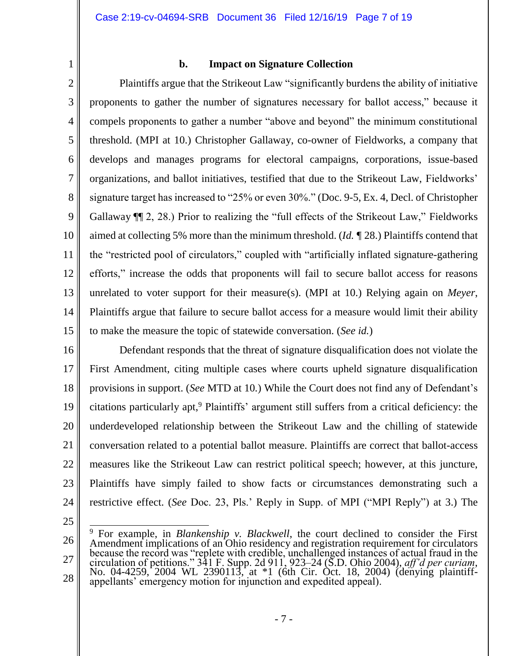1 2

### **b. Impact on Signature Collection**

3 4 5 6 7 8 9 10 11 12 13 14 15 Plaintiffs argue that the Strikeout Law "significantly burdens the ability of initiative proponents to gather the number of signatures necessary for ballot access," because it compels proponents to gather a number "above and beyond" the minimum constitutional threshold. (MPI at 10.) Christopher Gallaway, co-owner of Fieldworks, a company that develops and manages programs for electoral campaigns, corporations, issue-based organizations, and ballot initiatives, testified that due to the Strikeout Law, Fieldworks' signature target has increased to "25% or even 30%." (Doc. 9-5, Ex. 4, Decl. of Christopher Gallaway ¶¶ 2, 28.) Prior to realizing the "full effects of the Strikeout Law," Fieldworks aimed at collecting 5% more than the minimum threshold. (*Id.* ¶ 28.) Plaintiffs contend that the "restricted pool of circulators," coupled with "artificially inflated signature-gathering efforts," increase the odds that proponents will fail to secure ballot access for reasons unrelated to voter support for their measure(s). (MPI at 10.) Relying again on *Meyer*, Plaintiffs argue that failure to secure ballot access for a measure would limit their ability to make the measure the topic of statewide conversation. (*See id.*)

16

17 18 19 20 21 22 23 24 Defendant responds that the threat of signature disqualification does not violate the First Amendment, citing multiple cases where courts upheld signature disqualification provisions in support. (*See* MTD at 10*.*) While the Court does not find any of Defendant's citations particularly apt, <sup>9</sup> Plaintiffs' argument still suffers from a critical deficiency: the underdeveloped relationship between the Strikeout Law and the chilling of statewide conversation related to a potential ballot measure. Plaintiffs are correct that ballot-access measures like the Strikeout Law can restrict political speech; however, at this juncture, Plaintiffs have simply failed to show facts or circumstances demonstrating such a restrictive effect. (*See* Doc. 23, Pls.' Reply in Supp. of MPI ("MPI Reply") at 3.) The

25

 $\overline{a}$ 

<sup>26</sup> 27 28 <sup>9</sup> For example, in *Blankenship v. Blackwell*, the court declined to consider the First Amendment implications of an Ohio residency and registration requirement for circulators because the record was "replete with credible, unchallenged instances of actual fraud in the circulation of petitions." 341 F. Supp. 2d 911, 923–24 (S.D. Ohio 2004), *aff'd per curiam*, No. 04-4259, 2004 WL 2390113, at \*1 (6th Cir. Oct. 18, 2004) (denying plaintiffappellants' emergency motion for injunction and expedited appeal).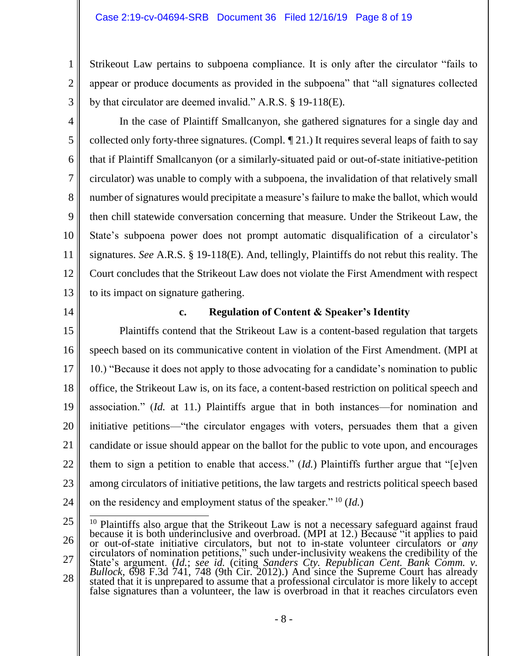#### Case 2:19-cv-04694-SRB Document 36 Filed 12/16/19 Page 8 of 19

Strikeout Law pertains to subpoena compliance. It is only after the circulator "fails to appear or produce documents as provided in the subpoena" that "all signatures collected by that circulator are deemed invalid." A.R.S. § 19-118(E).

3 4

5

6

7

8

9

10

11

12

13

1

2

In the case of Plaintiff Smallcanyon, she gathered signatures for a single day and collected only forty-three signatures. (Compl. ¶ 21.) It requires several leaps of faith to say that if Plaintiff Smallcanyon (or a similarly-situated paid or out-of-state initiative-petition circulator) was unable to comply with a subpoena, the invalidation of that relatively small number of signatures would precipitate a measure's failure to make the ballot, which would then chill statewide conversation concerning that measure. Under the Strikeout Law, the State's subpoena power does not prompt automatic disqualification of a circulator's signatures. *See* A.R.S. § 19-118(E). And, tellingly, Plaintiffs do not rebut this reality. The Court concludes that the Strikeout Law does not violate the First Amendment with respect to its impact on signature gathering.

14

### **c. Regulation of Content & Speaker's Identity**

15 16 17 18 19 20 21 22 23 24 Plaintiffs contend that the Strikeout Law is a content-based regulation that targets speech based on its communicative content in violation of the First Amendment. (MPI at 10.) "Because it does not apply to those advocating for a candidate's nomination to public office, the Strikeout Law is, on its face, a content-based restriction on political speech and association." (*Id.* at 11.) Plaintiffs argue that in both instances—for nomination and initiative petitions—"the circulator engages with voters, persuades them that a given candidate or issue should appear on the ballot for the public to vote upon, and encourages them to sign a petition to enable that access." (*Id.*) Plaintiffs further argue that "[e]ven among circulators of initiative petitions, the law targets and restricts political speech based on the residency and employment status of the speaker." <sup>10</sup> (*Id.*)

<sup>25</sup> 26 27 28  $\overline{a}$ <sup>10</sup> Plaintiffs also argue that the Strikeout Law is not a necessary safeguard against fraud because it is both underinclusive and overbroad. (MPI at 12.) Because "it applies to paid or out-of-state initiative circulators, but not to in-state volunteer circulators or *any* circulators of nomination petitions," such under-inclusivity weakens the credibility of the State's argument. (*Id.*; *see id.* (citing *Sanders Cty. Republican Cent. Bank Comm. v. Bullock*, 698 F.3d 741, 748 (9th Cir. 2012).) And since the Supreme Court has already stated that it is unprepared to assume that a professional circulator is more likely to accept false signatures than a volunteer, the law is overbroad in that it reaches circulators even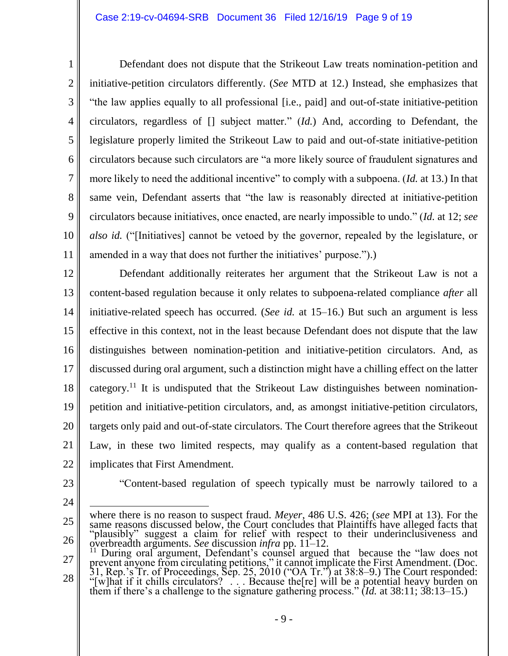Defendant does not dispute that the Strikeout Law treats nomination-petition and initiative-petition circulators differently. (*See* MTD at 12.) Instead, she emphasizes that "the law applies equally to all professional [i.e., paid] and out-of-state initiative-petition circulators, regardless of [] subject matter." (*Id.*) And, according to Defendant, the legislature properly limited the Strikeout Law to paid and out-of-state initiative-petition circulators because such circulators are "a more likely source of fraudulent signatures and more likely to need the additional incentive" to comply with a subpoena. (*Id.* at 13.) In that same vein, Defendant asserts that "the law is reasonably directed at initiative-petition circulators because initiatives, once enacted, are nearly impossible to undo." (*Id.* at 12; *see also id.* ("[Initiatives] cannot be vetoed by the governor, repealed by the legislature, or amended in a way that does not further the initiatives' purpose.").)

12 13 14 15 16 17 18 19 20 21 22 Defendant additionally reiterates her argument that the Strikeout Law is not a content-based regulation because it only relates to subpoena-related compliance *after* all initiative-related speech has occurred. (*See id.* at 15–16.) But such an argument is less effective in this context, not in the least because Defendant does not dispute that the law distinguishes between nomination-petition and initiative-petition circulators. And, as discussed during oral argument, such a distinction might have a chilling effect on the latter category.<sup>11</sup> It is undisputed that the Strikeout Law distinguishes between nominationpetition and initiative-petition circulators, and, as amongst initiative-petition circulators, targets only paid and out-of-state circulators. The Court therefore agrees that the Strikeout Law, in these two limited respects, may qualify as a content-based regulation that implicates that First Amendment.

23

1

2

3

4

5

6

7

8

9

10

- "Content-based regulation of speech typically must be narrowly tailored to a
- 24
- 25 26 where there is no reason to suspect fraud. *Meyer*, 486 U.S. 426; (*see* MPI at 13). For the same reasons discussed below, the Court concludes that Plaintiffs have alleged facts that "plausibly" suggest a claim for relief with respect to their underinclusiveness and overbreadth arguments. *See* discussion *infra* pp. 11–12.
- 27 28 <sup>11</sup> During oral argument, Defendant's counsel argued that because the "law does not prevent anyone from circulating petitions," it cannot implicate the First Amendment. (Doc. 31, Rep.'s Tr. of Proceedings, Sep. 25, 2010 ("OA Tr.") at 38:8–9.) The Court responded: "[w]hat if it chills circulators? . . . Because the[re] will be a potential heavy burden on them if there's a challenge to the signature gathering process." (*Id.* at 38:11; 38:13–15.)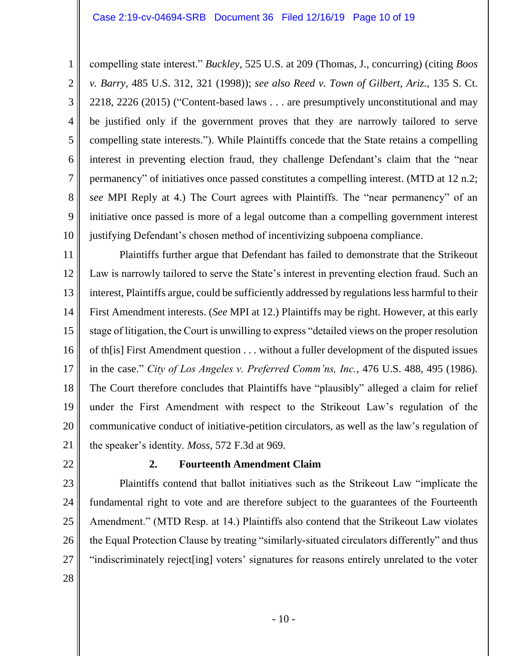6 compelling state interest." *Buckley*, 525 U.S. at 209 (Thomas, J., concurring) (citing *Boos v. Barry*, 485 U.S. 312, 321 (1998)); *see also Reed v. Town of Gilbert, Ariz.*, 135 S. Ct. 2218, 2226 (2015) ("Content-based laws . . . are presumptively unconstitutional and may be justified only if the government proves that they are narrowly tailored to serve compelling state interests."). While Plaintiffs concede that the State retains a compelling interest in preventing election fraud, they challenge Defendant's claim that the "near permanency" of initiatives once passed constitutes a compelling interest. (MTD at 12 n.2; *see* MPI Reply at 4.) The Court agrees with Plaintiffs. The "near permanency" of an initiative once passed is more of a legal outcome than a compelling government interest justifying Defendant's chosen method of incentivizing subpoena compliance.

11 12 13 14 15 16 17 18 19 20 21 Plaintiffs further argue that Defendant has failed to demonstrate that the Strikeout Law is narrowly tailored to serve the State's interest in preventing election fraud. Such an interest, Plaintiffs argue, could be sufficiently addressed by regulations less harmful to their First Amendment interests. (*See* MPI at 12.) Plaintiffs may be right. However, at this early stage of litigation, the Court is unwilling to express "detailed views on the proper resolution of th[is] First Amendment question . . . without a fuller development of the disputed issues in the case." *City of Los Angeles v. Preferred Comm'ns, Inc.*, 476 U.S. 488, 495 (1986). The Court therefore concludes that Plaintiffs have "plausibly" alleged a claim for relief under the First Amendment with respect to the Strikeout Law's regulation of the communicative conduct of initiative-petition circulators, as well as the law's regulation of the speaker's identity. *Moss*, 572 F.3d at 969.

22

1

2

3

4

5

7

8

9

10

### **2. Fourteenth Amendment Claim**

23 24 25 26 27 Plaintiffs contend that ballot initiatives such as the Strikeout Law "implicate the fundamental right to vote and are therefore subject to the guarantees of the Fourteenth Amendment." (MTD Resp. at 14.) Plaintiffs also contend that the Strikeout Law violates the Equal Protection Clause by treating "similarly-situated circulators differently" and thus "indiscriminately reject[ing] voters' signatures for reasons entirely unrelated to the voter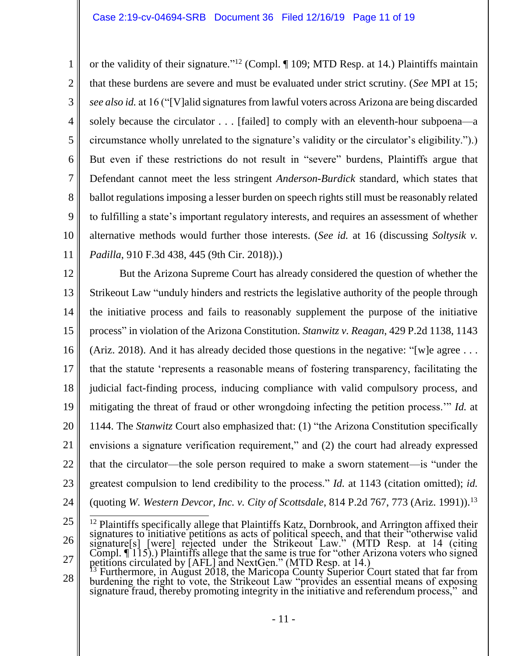1 2 3 4 5 6 7 8 9 10 11 or the validity of their signature." <sup>12</sup> (Compl. ¶ 109; MTD Resp. at 14*.*) Plaintiffs maintain that these burdens are severe and must be evaluated under strict scrutiny. (*See* MPI at 15; *see also id.* at 16 ("[V]alid signatures from lawful voters across Arizona are being discarded solely because the circulator . . . [failed] to comply with an eleventh-hour subpoena—a circumstance wholly unrelated to the signature's validity or the circulator's eligibility.").) But even if these restrictions do not result in "severe" burdens, Plaintiffs argue that Defendant cannot meet the less stringent *Anderson-Burdick* standard, which states that ballot regulations imposing a lesser burden on speech rights still must be reasonably related to fulfilling a state's important regulatory interests, and requires an assessment of whether alternative methods would further those interests. (*See id.* at 16 (discussing *Soltysik v. Padilla*, 910 F.3d 438, 445 (9th Cir. 2018)).)

12 13 14 15 16 17 18 19 20 21 22 23 24 But the Arizona Supreme Court has already considered the question of whether the Strikeout Law "unduly hinders and restricts the legislative authority of the people through the initiative process and fails to reasonably supplement the purpose of the initiative process" in violation of the Arizona Constitution. *Stanwitz v. Reagan*, 429 P.2d 1138, 1143 (Ariz. 2018). And it has already decided those questions in the negative: "[w]e agree  $\dots$ that the statute 'represents a reasonable means of fostering transparency, facilitating the judicial fact-finding process, inducing compliance with valid compulsory process, and mitigating the threat of fraud or other wrongdoing infecting the petition process.'" *Id.* at 1144. The *Stanwitz* Court also emphasized that: (1) "the Arizona Constitution specifically envisions a signature verification requirement," and (2) the court had already expressed that the circulator—the sole person required to make a sworn statement—is "under the greatest compulsion to lend credibility to the process." *Id.* at 1143 (citation omitted); *id.* (quoting *W. Western Devcor, Inc. v. City of Scottsdale*, 814 P.2d 767, 773 (Ariz. 1991)).<sup>13</sup>

<sup>25</sup> 26 27  $\overline{a}$ <sup>12</sup> Plaintiffs specifically allege that Plaintiffs Katz, Dornbrook, and Arrington affixed their signatures to initiative petitions as acts of political speech, and that their "otherwise valid signature[s] [were] rejected under the Strikeout Law." (MTD Resp. at 14 (citing Compl.  $\P$  115).) Plaintiffs allege that the same is true for "other Arizona voters who signed petitions circulated by [AFL] and NextGen." (MTD Resp. at 14.)

<sup>28</sup>  $^{13}$  Furthermore, in August 2018, the Maricopa County Superior Court stated that far from burdening the right to vote, the Strikeout Law "provides an essential means of exposing signature fraud, thereby promoting integrity in the initiative and referendum process," and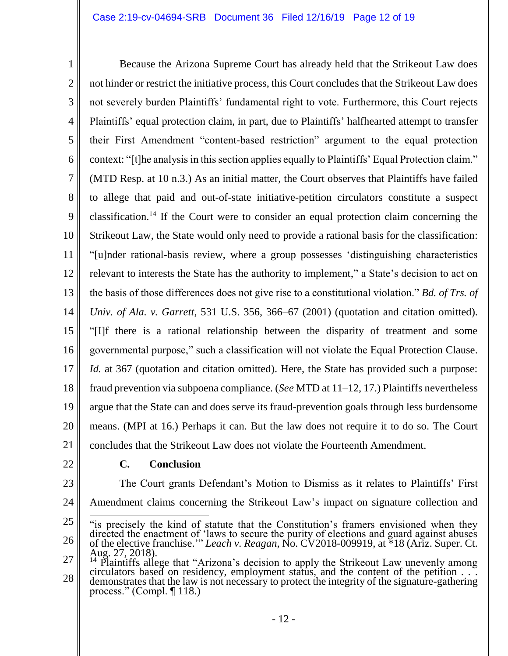#### Case 2:19-cv-04694-SRB Document 36 Filed 12/16/19 Page 12 of 19

1 2 3 4 5 6 7 8 9 10 11 12 13 14 15 16 17 18 19 20 21 Because the Arizona Supreme Court has already held that the Strikeout Law does not hinder or restrict the initiative process, this Court concludes that the Strikeout Law does not severely burden Plaintiffs' fundamental right to vote. Furthermore, this Court rejects Plaintiffs' equal protection claim, in part, due to Plaintiffs' halfhearted attempt to transfer their First Amendment "content-based restriction" argument to the equal protection context: "[t]he analysis in this section applies equally to Plaintiffs' Equal Protection claim." (MTD Resp. at 10 n.3.) As an initial matter, the Court observes that Plaintiffs have failed to allege that paid and out-of-state initiative-petition circulators constitute a suspect classification. <sup>14</sup> If the Court were to consider an equal protection claim concerning the Strikeout Law, the State would only need to provide a rational basis for the classification: "[u]nder rational-basis review, where a group possesses 'distinguishing characteristics relevant to interests the State has the authority to implement," a State's decision to act on the basis of those differences does not give rise to a constitutional violation." *Bd. of Trs. of Univ. of Ala. v. Garrett*, 531 U.S. 356, 366–67 (2001) (quotation and citation omitted). "[I]f there is a rational relationship between the disparity of treatment and some governmental purpose," such a classification will not violate the Equal Protection Clause. *Id.* at 367 (quotation and citation omitted). Here, the State has provided such a purpose: fraud prevention via subpoena compliance. (*See* MTD at 11–12, 17.) Plaintiffs nevertheless argue that the State can and does serve its fraud-prevention goals through less burdensome means. (MPI at 16.) Perhaps it can. But the law does not require it to do so. The Court concludes that the Strikeout Law does not violate the Fourteenth Amendment.

22

#### **C. Conclusion**

23 24 The Court grants Defendant's Motion to Dismiss as it relates to Plaintiffs' First Amendment claims concerning the Strikeout Law's impact on signature collection and

<sup>25</sup> 26  $\overline{a}$ "is precisely the kind of statute that the Constitution's framers envisioned when they directed the enactment of 'laws to secure the purity of elections and guard against abuses of the elective franchise.'" *Leach v. Reagan*, No. CV2018-009919, at \*18 (Ariz. Super. Ct. Aug. 27, 2018).

<sup>27</sup> 28 Plaintiffs allege that "Arizona's decision to apply the Strikeout Law unevenly among circulators based on residency, employment status, and the content of the petition . . . demonstrates that the law is not necessary to protect the integrity of the signature-gathering process." (Compl. ¶ 118.)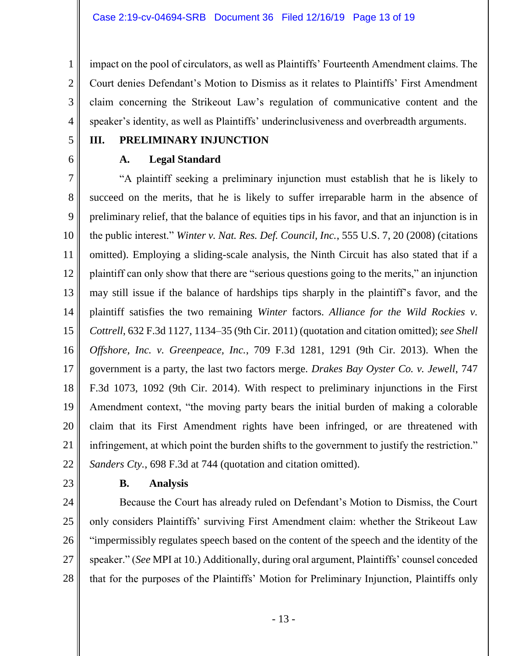impact on the pool of circulators, as well as Plaintiffs' Fourteenth Amendment claims. The Court denies Defendant's Motion to Dismiss as it relates to Plaintiffs' First Amendment claim concerning the Strikeout Law's regulation of communicative content and the speaker's identity, as well as Plaintiffs' underinclusiveness and overbreadth arguments.

5

6

1

2

3

4

### **III. PRELIMINARY INJUNCTION**

### **A. Legal Standard**

7 8 9 10 11 12 13 14 15 16 17 18 19 20 21 22 "A plaintiff seeking a preliminary injunction must establish that he is likely to succeed on the merits, that he is likely to suffer irreparable harm in the absence of preliminary relief, that the balance of equities tips in his favor, and that an injunction is in the public interest." *Winter v. Nat. Res. Def. Council, Inc.*, 555 U.S. 7, 20 (2008) (citations omitted). Employing a sliding-scale analysis, the Ninth Circuit has also stated that if a plaintiff can only show that there are "serious questions going to the merits," an injunction may still issue if the balance of hardships tips sharply in the plaintiff's favor, and the plaintiff satisfies the two remaining *Winter* factors. *Alliance for the Wild Rockies v. Cottrell*, 632 F.3d 1127, 1134–35 (9th Cir. 2011) (quotation and citation omitted); *see Shell Offshore, Inc. v. Greenpeace, Inc.*, 709 F.3d 1281, 1291 (9th Cir. 2013). When the government is a party, the last two factors merge. *Drakes Bay Oyster Co. v. Jewell*, 747 F.3d 1073, 1092 (9th Cir. 2014). With respect to preliminary injunctions in the First Amendment context, "the moving party bears the initial burden of making a colorable claim that its First Amendment rights have been infringed, or are threatened with infringement, at which point the burden shifts to the government to justify the restriction." *Sanders Cty.*, 698 F.3d at 744 (quotation and citation omitted).

23

## **B. Analysis**

24 25 26 27 28 Because the Court has already ruled on Defendant's Motion to Dismiss, the Court only considers Plaintiffs' surviving First Amendment claim: whether the Strikeout Law "impermissibly regulates speech based on the content of the speech and the identity of the speaker." (*See* MPI at 10.) Additionally, during oral argument, Plaintiffs' counsel conceded that for the purposes of the Plaintiffs' Motion for Preliminary Injunction, Plaintiffs only

- 13 -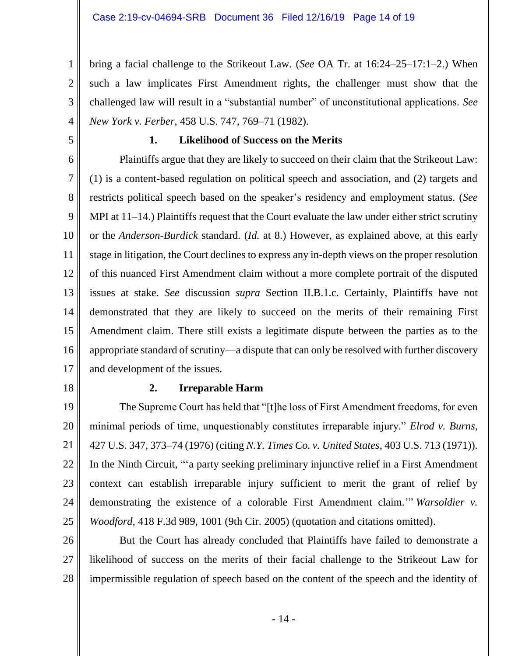bring a facial challenge to the Strikeout Law. (*See* OA Tr. at 16:24–25–17:1–2.) When such a law implicates First Amendment rights, the challenger must show that the challenged law will result in a "substantial number" of unconstitutional applications. *See New York v. Ferber*, 458 U.S. 747, 769–71 (1982).

5

1

2

3

4

### **1. Likelihood of Success on the Merits**

6 7 8 9 10 11 12 13 14 15 16 17 Plaintiffs argue that they are likely to succeed on their claim that the Strikeout Law: (1) is a content-based regulation on political speech and association, and (2) targets and restricts political speech based on the speaker's residency and employment status. (*See*  MPI at 11–14.) Plaintiffs request that the Court evaluate the law under either strict scrutiny or the *Anderson-Burdick* standard. (*Id.* at 8.) However, as explained above, at this early stage in litigation, the Court declines to express any in-depth views on the proper resolution of this nuanced First Amendment claim without a more complete portrait of the disputed issues at stake. *See* discussion *supra* Section II.B.1.c. Certainly, Plaintiffs have not demonstrated that they are likely to succeed on the merits of their remaining First Amendment claim. There still exists a legitimate dispute between the parties as to the appropriate standard of scrutiny—a dispute that can only be resolved with further discovery and development of the issues.

18

#### **2. Irreparable Harm**

19 20 21 22 23 24 25 The Supreme Court has held that "[t]he loss of First Amendment freedoms, for even minimal periods of time, unquestionably constitutes irreparable injury." *Elrod v. Burns*, 427 U.S. 347, 373–74 (1976) (citing *N.Y. Times Co. v. United States*, 403 U.S. 713 (1971)). In the Ninth Circuit, "'a party seeking preliminary injunctive relief in a First Amendment context can establish irreparable injury sufficient to merit the grant of relief by demonstrating the existence of a colorable First Amendment claim.'" *Warsoldier v. Woodford*, 418 F.3d 989, 1001 (9th Cir. 2005) (quotation and citations omitted).

26

27 28 But the Court has already concluded that Plaintiffs have failed to demonstrate a likelihood of success on the merits of their facial challenge to the Strikeout Law for impermissible regulation of speech based on the content of the speech and the identity of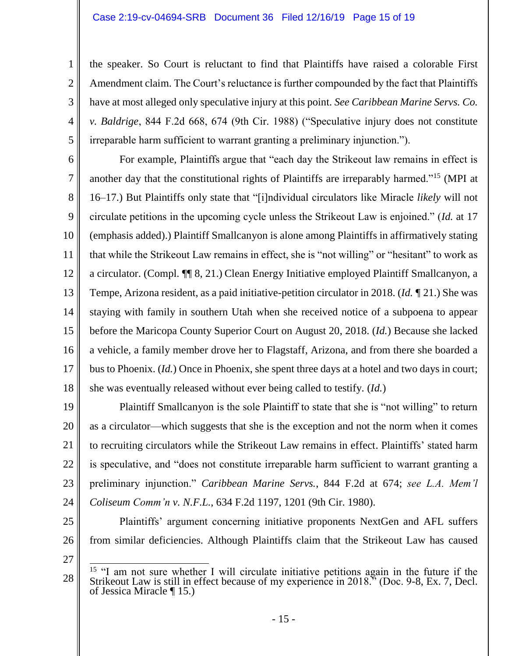the speaker. So Court is reluctant to find that Plaintiffs have raised a colorable First Amendment claim. The Court's reluctance is further compounded by the fact that Plaintiffs have at most alleged only speculative injury at this point. *See Caribbean Marine Servs. Co. v. Baldrige*, 844 F.2d 668, 674 (9th Cir. 1988) ("Speculative injury does not constitute irreparable harm sufficient to warrant granting a preliminary injunction.").

6 7 8 9 10 11 12 13 14 15 16 17 18 For example, Plaintiffs argue that "each day the Strikeout law remains in effect is another day that the constitutional rights of Plaintiffs are irreparably harmed."<sup>15</sup> (MPI at 16–17.) But Plaintiffs only state that "[i]ndividual circulators like Miracle *likely* will not circulate petitions in the upcoming cycle unless the Strikeout Law is enjoined." (*Id.* at 17 (emphasis added).) Plaintiff Smallcanyon is alone among Plaintiffs in affirmatively stating that while the Strikeout Law remains in effect, she is "not willing" or "hesitant" to work as a circulator. (Compl. ¶¶ 8, 21.) Clean Energy Initiative employed Plaintiff Smallcanyon, a Tempe, Arizona resident, as a paid initiative-petition circulator in 2018. (*Id.* ¶ 21.) She was staying with family in southern Utah when she received notice of a subpoena to appear before the Maricopa County Superior Court on August 20, 2018. (*Id.*) Because she lacked a vehicle, a family member drove her to Flagstaff, Arizona, and from there she boarded a bus to Phoenix. (*Id.*) Once in Phoenix, she spent three days at a hotel and two days in court; she was eventually released without ever being called to testify. (*Id.*)

19 20 21 22 23 24 Plaintiff Smallcanyon is the sole Plaintiff to state that she is "not willing" to return as a circulator—which suggests that she is the exception and not the norm when it comes to recruiting circulators while the Strikeout Law remains in effect. Plaintiffs' stated harm is speculative, and "does not constitute irreparable harm sufficient to warrant granting a preliminary injunction." *Caribbean Marine Servs.*, 844 F.2d at 674; *see L.A. Mem'l Coliseum Comm'n v. N.F.L.*, 634 F.2d 1197, 1201 (9th Cir. 1980).

25

1

2

3

4

5

Plaintiffs' argument concerning initiative proponents NextGen and AFL suffers from similar deficiencies. Although Plaintiffs claim that the Strikeout Law has caused

<sup>28</sup>  $\overline{a}$ <sup>15</sup> "I am not sure whether I will circulate initiative petitions again in the future if the Strikeout Law is still in effect because of my experience in 2018." (Doc. 9-8, Ex. 7, Decl. of Jessica Miracle ¶ 15.)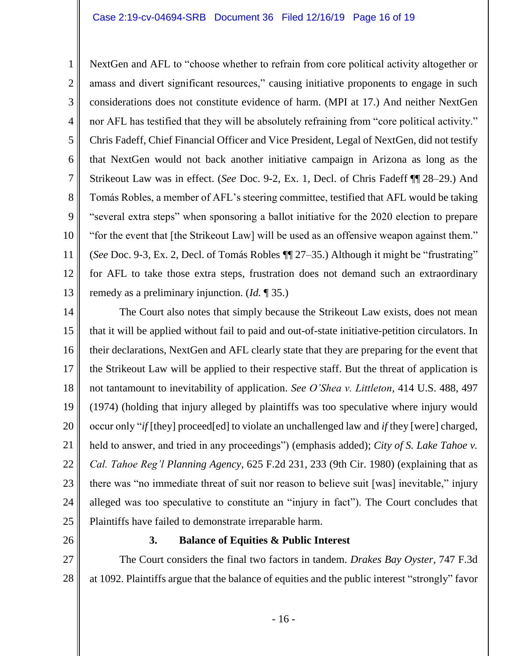1 2 3 4 5 6 7 8 9 10 11 12 13 NextGen and AFL to "choose whether to refrain from core political activity altogether or amass and divert significant resources," causing initiative proponents to engage in such considerations does not constitute evidence of harm. (MPI at 17.) And neither NextGen nor AFL has testified that they will be absolutely refraining from "core political activity." Chris Fadeff, Chief Financial Officer and Vice President, Legal of NextGen, did not testify that NextGen would not back another initiative campaign in Arizona as long as the Strikeout Law was in effect. (*See* Doc. 9-2, Ex. 1, Decl. of Chris Fadeff ¶¶ 28–29.) And Tomás Robles, a member of AFL's steering committee, testified that AFL would be taking "several extra steps" when sponsoring a ballot initiative for the 2020 election to prepare "for the event that [the Strikeout Law] will be used as an offensive weapon against them." (*See* Doc. 9-3, Ex. 2, Decl. of Tomás Robles ¶¶ 27–35.) Although it might be "frustrating" for AFL to take those extra steps, frustration does not demand such an extraordinary remedy as a preliminary injunction. (*Id.* ¶ 35.)

14 15 16 17 18 19 20 21 22 23 24 25 The Court also notes that simply because the Strikeout Law exists, does not mean that it will be applied without fail to paid and out-of-state initiative-petition circulators. In their declarations, NextGen and AFL clearly state that they are preparing for the event that the Strikeout Law will be applied to their respective staff. But the threat of application is not tantamount to inevitability of application. *See O'Shea v. Littleton*, 414 U.S. 488, 497 (1974) (holding that injury alleged by plaintiffs was too speculative where injury would occur only "*if* [they] proceed[ed] to violate an unchallenged law and *if* they [were] charged, held to answer, and tried in any proceedings") (emphasis added); *City of S. Lake Tahoe v. Cal. Tahoe Reg'l Planning Agency*, 625 F.2d 231, 233 (9th Cir. 1980) (explaining that as there was "no immediate threat of suit nor reason to believe suit [was] inevitable," injury alleged was too speculative to constitute an "injury in fact"). The Court concludes that Plaintiffs have failed to demonstrate irreparable harm.

26

### **3. Balance of Equities & Public Interest**

27 28 The Court considers the final two factors in tandem. *Drakes Bay Oyster*, 747 F.3d at 1092. Plaintiffs argue that the balance of equities and the public interest "strongly" favor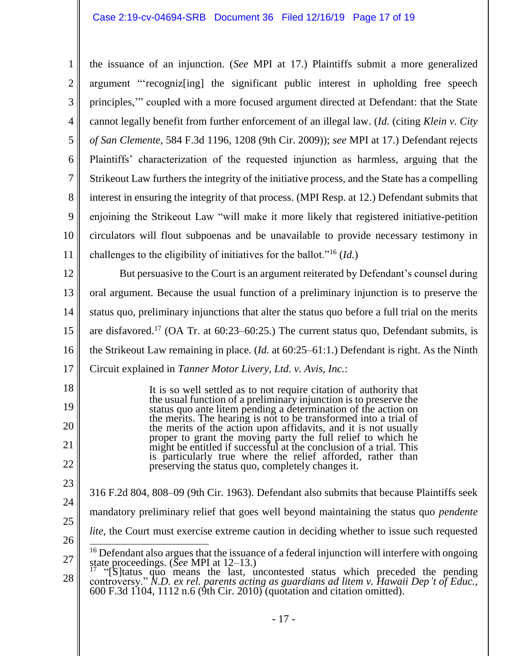1 2 3 4 5 6 7 8 9 10 11 the issuance of an injunction. (*See* MPI at 17.) Plaintiffs submit a more generalized argument "'recogniz[ing] the significant public interest in upholding free speech principles,'" coupled with a more focused argument directed at Defendant: that the State cannot legally benefit from further enforcement of an illegal law. (*Id.* (citing *Klein v. City of San Clemente*, 584 F.3d 1196, 1208 (9th Cir. 2009)); *see* MPI at 17.) Defendant rejects Plaintiffs' characterization of the requested injunction as harmless, arguing that the Strikeout Law furthers the integrity of the initiative process, and the State has a compelling interest in ensuring the integrity of that process. (MPI Resp. at 12.) Defendant submits that enjoining the Strikeout Law "will make it more likely that registered initiative-petition circulators will flout subpoenas and be unavailable to provide necessary testimony in challenges to the eligibility of initiatives for the ballot."<sup>16</sup> (*Id.*)

12 13 14 15 16 17 But persuasive to the Court is an argument reiterated by Defendant's counsel during oral argument. Because the usual function of a preliminary injunction is to preserve the status quo, preliminary injunctions that alter the status quo before a full trial on the merits are disfavored.<sup>17</sup> (OA Tr. at  $60:23-60:25$ .) The current status quo, Defendant submits, is the Strikeout Law remaining in place. (*Id.* at 60:25–61:1.) Defendant is right. As the Ninth Circuit explained in *Tanner Motor Livery, Ltd. v. Avis, Inc.*:

It is so well settled as to not require citation of authority that the usual function of a preliminary injunction is to preserve the status quo ante litem pending a determination of the action on the merits. The hearing is not to be transformed into a trial of the merits of the action upon affidavits, and it is not usually proper to grant the moving party the full relief to which he might be entitled if successful at the conclusion of a trial. This is particularly true where the relief afforded, rather than preserving the status quo, completely changes it.

- 23 24 25 316 F.2d 804, 808–09 (9th Cir. 1963). Defendant also submits that because Plaintiffs seek mandatory preliminary relief that goes well beyond maintaining the status quo *pendente*
- 26

18

19

20

21

22

*lite*, the Court must exercise extreme caution in deciding whether to issue such requested

<sup>27</sup>  $\overline{1}$  $16$  Defendant also argues that the issuance of a federal injunction will interfere with ongoing state proceedings. (*See* MPI at 12–13.)

<sup>28</sup> <sup>17</sup> "[S]tatus quo means the last, uncontested status which preceded the pending controversy." *N.D. ex rel. parents acting as guardians ad litem v. Hawaii Dep't of Educ.*, 600 F.3d 1104, 1112 n.6 (9th Cir. 2010) (quotation and citation omitted).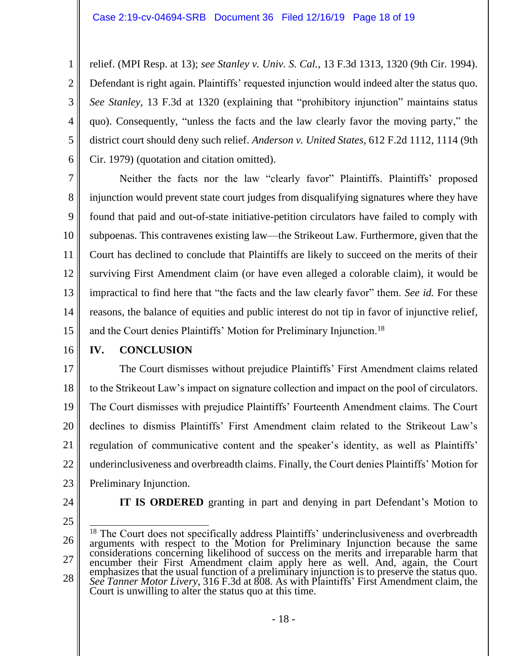2 3 4 5 6 relief. (MPI Resp. at 13); *see Stanley v. Univ. S. Cal.*, 13 F.3d 1313, 1320 (9th Cir. 1994). Defendant is right again. Plaintiffs' requested injunction would indeed alter the status quo. *See Stanley*, 13 F.3d at 1320 (explaining that "prohibitory injunction" maintains status quo). Consequently, "unless the facts and the law clearly favor the moving party," the district court should deny such relief. *Anderson v. United States*, 612 F.2d 1112, 1114 (9th Cir. 1979) (quotation and citation omitted).

7 8 9 10 11 12 13 14 15 Neither the facts nor the law "clearly favor" Plaintiffs. Plaintiffs' proposed injunction would prevent state court judges from disqualifying signatures where they have found that paid and out-of-state initiative-petition circulators have failed to comply with subpoenas. This contravenes existing law—the Strikeout Law. Furthermore, given that the Court has declined to conclude that Plaintiffs are likely to succeed on the merits of their surviving First Amendment claim (or have even alleged a colorable claim), it would be impractical to find here that "the facts and the law clearly favor" them. *See id.* For these reasons, the balance of equities and public interest do not tip in favor of injunctive relief, and the Court denies Plaintiffs' Motion for Preliminary Injunction.<sup>18</sup>

16

1

## **IV. CONCLUSION**

17 18 19 20 21 22 23 The Court dismisses without prejudice Plaintiffs' First Amendment claims related to the Strikeout Law's impact on signature collection and impact on the pool of circulators. The Court dismisses with prejudice Plaintiffs' Fourteenth Amendment claims. The Court declines to dismiss Plaintiffs' First Amendment claim related to the Strikeout Law's regulation of communicative content and the speaker's identity, as well as Plaintiffs' underinclusiveness and overbreadth claims. Finally, the Court denies Plaintiffs' Motion for Preliminary Injunction.

24

25

**IT IS ORDERED** granting in part and denying in part Defendant's Motion to

<sup>26</sup> 27 28  $\overline{a}$ <sup>18</sup> The Court does not specifically address Plaintiffs' underinclusiveness and overbreadth arguments with respect to the Motion for Preliminary Injunction because the same considerations concerning likelihood of success on the merits and irreparable harm that encumber their First Amendment claim apply here as well. And, again, the Court emphasizes that the usual function of a preliminary injunction is to preserve the status quo. *See Tanner Motor Livery*, 316 F.3d at 808. As with Plaintiffs' First Amendment claim, the Court is unwilling to alter the status quo at this time.